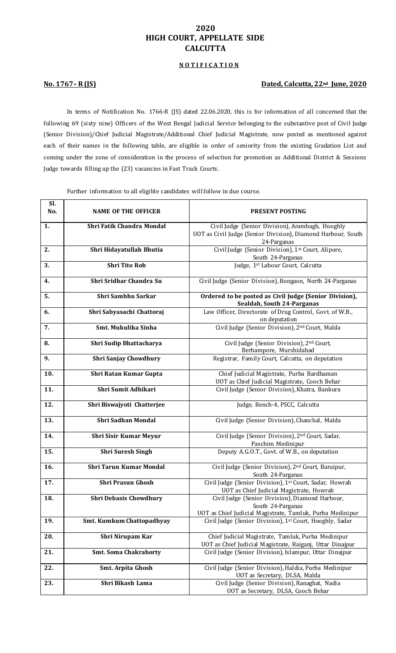# **2020 HIGH COURT, APPELLATE SIDE CALCUTTA**

# **N O T I F I C A T I O N**

# **No. 1767– R (JS) Dated, Calcutta, 22nd June, 2020**

In terms of Notification No. 1766-R (JS) dated 22.06.2020, this is for information of all concerned that the following 69 (sixty nine) Officers of the West Bengal Judicial Service belonging to the substantive post of Civil Judge (Senior Division)/Chief Judicial Magistrate/Additional Chief Judicial Magistrate, now posted as mentioned against each of their names in the following table, are eligible in order of seniority from the existing Gradation List and coming under the zone of consideration in the process of selection for promotion as Additional District & Sessions Judge towards filling up the (23) vacancies in Fast Track Courts.

Further information to all eligible candidates will follow in due course.

| Sl.<br>No. | <b>NAME OF THE OFFICER</b>       | <b>PRESENT POSTING</b>                                                                                                          |
|------------|----------------------------------|---------------------------------------------------------------------------------------------------------------------------------|
| 1.         | <b>Shri Fatik Chandra Mondal</b> | Civil Judge (Senior Division), Arambagh, Hooghly<br>UOT as Civil Judge (Senior Division), Diamond Harbour, South<br>24-Parganas |
| 2.         | Shri Hidayatullah Bhutia         | Civil Judge (Senior Division), 1st Court, Alipore,<br>South 24-Parganas                                                         |
| 3.         | <b>Shri Tito Rob</b>             | Judge, 1st Labour Court, Calcutta                                                                                               |
| 4.         | Shri Sridhar Chandra Su          | Civil Judge (Senior Division), Bongaon, North 24-Parganas                                                                       |
| 5.         | <b>Shri Sambhu Sarkar</b>        | Ordered to be posted as Civil Judge (Senior Division),<br>Sealdah, South 24-Parganas                                            |
| 6.         | Shri Sabyasachi Chattoraj        | Law Officer, Directorate of Drug Control, Govt. of W.B.,<br>on deputation                                                       |
| 7.         | Smt. Mukulika Sinha              | Civil Judge (Senior Division), 2nd Court, Malda                                                                                 |
| 8.         | Shri Sudip Bhattacharya          | Civil Judge (Senior Division), 2 <sup>nd</sup> Court,<br>Berhampore, Murshidabad                                                |
| 9.         | <b>Shri Sanjay Chowdhury</b>     | Registrar, Family Court, Calcutta, on deputation                                                                                |
| 10.        | Shri Ratan Kumar Gupta           | Chief Judicial Magistrate, Purba Bardhaman<br>UOT as Chief Judicial Magistrate, Cooch Behar                                     |
| 11.        | Shri Sumit Adhikari              | Civil Judge (Senior Division), Khatra, Bankura                                                                                  |
| 12.        | Shri Biswajyoti Chatterjee       | Judge, Bench-4, PSCC, Calcutta                                                                                                  |
| 13.        | <b>Shri Sadhan Mondal</b>        | Civil Judge (Senior Division), Chanchal, Malda                                                                                  |
| 14.        | <b>Shri Sisir Kumar Meyur</b>    | Civil Judge (Senior Division), 2nd Court, Sadar,<br>Paschim Medinipur                                                           |
| 15.        | <b>Shri Suresh Singh</b>         | Deputy A.G.O.T., Govt. of W.B., on deputation                                                                                   |
| 16.        | <b>Shri Tarun Kumar Mondal</b>   | Civil Judge (Senior Division), 2 <sup>nd</sup> Court, Baruipur,<br>South 24-Parganas                                            |
| 17.        | <b>Shri Prasun Ghosh</b>         | Civil Judge (Senior Division), 1st Court, Sadar, Howrah<br>UOT as Chief Judicial Magistrate, Howrah                             |
| 18.        | <b>Shri Debasis Chowdhury</b>    | Civil Judge (Senior Division), Diamond Harbour,<br>South 24-Parganas                                                            |
| 19.        | <b>Smt. Kumkum Chattopadhyay</b> | UOT as Chief Judicial Magistrate, Tamluk, Purba Medinipur<br>Civil Judge (Senior Division), 1st Court, Hooghly, Sadar           |
| 20.        | Shri Nirupam Kar                 | Chief Judicial Magistrate, Tamluk, Purba Medinipur                                                                              |
|            |                                  | UOT as Chief Judicial Magistrate, Raiganj, Uttar Dinajpur                                                                       |
| 21.        | <b>Smt. Soma Chakraborty</b>     | Civil Judge (Senior Division), Islampur, Uttar Dinajpur                                                                         |
| 22.        | Smt. Arpita Ghosh                | Civil Judge (Senior Division), Haldia, Purba Medinipur<br>UOT as Secretary, DLSA, Malda                                         |
| 23.        | Shri Bikash Lama                 | Civil Judge (Senior Division), Ranaghat, Nadia<br>UOT as Secretary, DLSA, Cooch Behar                                           |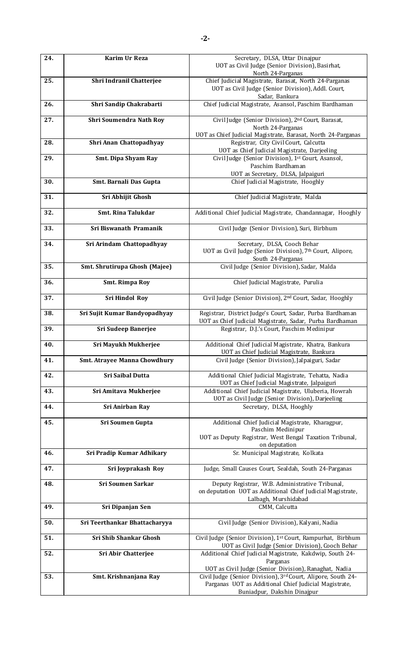| 24. | Karim Ur Reza                       | Secretary, DLSA, Uttar Dinajpur<br>UOT as Civil Judge (Senior Division), Basirhat,<br>North 24-Parganas                               |
|-----|-------------------------------------|---------------------------------------------------------------------------------------------------------------------------------------|
| 25. | Shri Indranil Chatterjee            | Chief Judicial Magistrate, Barasat, North 24-Parganas<br>UOT as Civil Judge (Senior Division), Addl. Court,<br>Sadar, Bankura         |
| 26. | Shri Sandip Chakrabarti             | Chief Judicial Magistrate, Asansol, Paschim Bardhaman                                                                                 |
| 27. | <b>Shri Soumendra Nath Roy</b>      | Civil Judge (Senior Division), 2nd Court, Barasat,<br>North 24-Parganas                                                               |
|     |                                     | UOT as Chief Judicial Magistrate, Barasat, North 24-Parganas                                                                          |
| 28. | Shri Anan Chattopadhyay             | Registrar, City Civil Court, Calcutta                                                                                                 |
|     |                                     | UOT as Chief Judicial Magistrate, Darjeeling                                                                                          |
| 29. | <b>Smt. Dipa Shyam Ray</b>          | Civil Judge (Senior Division), 1st Court, Asansol,                                                                                    |
|     |                                     | Paschim Bardhaman                                                                                                                     |
|     |                                     | UOT as Secretary, DLSA, Jalpaiguri                                                                                                    |
| 30. | Smt. Barnali Das Gupta              | Chief Judicial Magistrate, Hooghly                                                                                                    |
| 31. | Sri Abhijit Ghosh                   | Chief Judicial Magistrate, Malda                                                                                                      |
| 32. | <b>Smt. Rina Talukdar</b>           | Additional Chief Judicial Magistrate, Chandannagar, Hooghly                                                                           |
| 33. | Sri Biswanath Pramanik              | Civil Judge (Senior Division), Suri, Birbhum                                                                                          |
| 34. | Sri Arindam Chattopadhyay           | Secretary, DLSA, Cooch Behar<br>UOT as Civil Judge (Senior Division), 7th Court, Alipore,<br>South 24-Parganas                        |
| 35. | Smt. Shrutirupa Ghosh (Majee)       | Civil Judge (Senior Division), Sadar, Malda                                                                                           |
| 36. | <b>Smt. Rimpa Roy</b>               | Chief Judicial Magistrate, Purulia                                                                                                    |
| 37. | <b>Sri Hindol Roy</b>               | Civil Judge (Senior Division), 2 <sup>nd</sup> Court, Sadar, Hooghly                                                                  |
| 38. | Sri Sujit Kumar Bandyopadhyay       | Registrar, District Judge's Court, Sadar, Purba Bardhaman<br>UOT as Chief Judicial Magistrate, Sadar, Purba Bardhaman                 |
| 39. | <b>Sri Sudeep Banerjee</b>          | Registrar, D.J.'s Court, Paschim Medinipur                                                                                            |
| 40. | Sri Mayukh Mukherjee                | Additional Chief Judicial Magistrate, Khatra, Bankura<br>UOT as Chief Judicial Magistrate, Bankura                                    |
| 41. | <b>Smt. Atrayee Manna Chowdhury</b> | Civil Judge (Senior Division), Jalpaiguri, Sadar                                                                                      |
| 42. | <b>Sri Saibal Dutta</b>             | Additional Chief Judicial Magistrate, Tehatta, Nadia<br>UOT as Chief Judicial Magistrate, Jalpaiguri                                  |
| 43. | Sri Amitava Mukherjee               | Additional Chief Judicial Magistrate, Uluberia, Howrah<br>UOT as Civil Judge (Senior Division), Darjeeling                            |
| 44. | <b>Sri Anirban Ray</b>              | Secretary, DLSA, Hooghly                                                                                                              |
| 45. | Sri Soumen Gupta                    | Additional Chief Judicial Magistrate, Kharagpur,<br>Paschim Medinipur                                                                 |
|     |                                     | UOT as Deputy Registrar, West Bengal Taxation Tribunal,<br>on deputation                                                              |
| 46. | Sri Pradip Kumar Adhikary           | Sr. Municipal Magistrate, Kolkata                                                                                                     |
| 47. | Sri Joyprakash Roy                  | Judge, Small Causes Court, Sealdah, South 24-Parganas                                                                                 |
| 48. | <b>Sri Soumen Sarkar</b>            | Deputy Registrar, W.B. Administrative Tribunal,<br>on deputation UOT as Additional Chief Judicial Magistrate,<br>Lalbagh, Murshidabad |
| 49. | Sri Dipanjan Sen                    | CMM, Calcutta                                                                                                                         |
| 50. | Sri Teerthankar Bhattacharyya       | Civil Judge (Senior Division), Kalyani, Nadia                                                                                         |
| 51. | <b>Sri Shib Shankar Ghosh</b>       | Civil Judge (Senior Division), 1 <sup>st</sup> Court, Rampurhat, Birbhum<br>UOT as Civil Judge (Senior Division), Cooch Behar         |
| 52. | Sri Abir Chatterjee                 | Additional Chief Judicial Magistrate, Kakdwip, South 24-                                                                              |
|     |                                     | Parganas                                                                                                                              |
|     |                                     | UOT as Civil Judge (Senior Division), Ranaghat, Nadia                                                                                 |
| 53. | Smt. Krishnanjana Ray               | Civil Judge (Senior Division), 3rd Court, Alipore, South 24-<br>Parganas UOT as Additional Chief Judicial Magistrate,                 |
|     |                                     | Buniadpur, Dakshin Dinajpur                                                                                                           |
|     |                                     |                                                                                                                                       |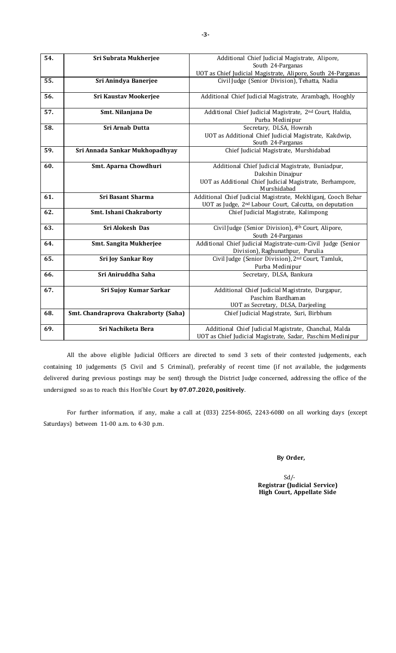| 54. | Sri Subrata Mukherjee                | Additional Chief Judicial Magistrate, Alipore,                                                    |
|-----|--------------------------------------|---------------------------------------------------------------------------------------------------|
|     |                                      | South 24-Parganas<br>UOT as Chief Judicial Magistrate, Alipore, South 24-Parganas                 |
| 55. | Sri Anindya Banerjee                 | Civil Judge (Senior Division), Tehatta, Nadia                                                     |
|     |                                      |                                                                                                   |
| 56. | Sri Kaustav Mookerjee                | Additional Chief Judicial Magistrate, Arambagh, Hooghly                                           |
| 57. | Smt. Nilanjana De                    | Additional Chief Judicial Magistrate, 2 <sup>nd</sup> Court, Haldia,<br>Purba Medinipur           |
| 58. | Sri Arnab Dutta                      | Secretary, DLSA, Howrah                                                                           |
|     |                                      | UOT as Additional Chief Judicial Magistrate, Kakdwip,<br>South 24-Parganas                        |
| 59. | Sri Annada Sankar Mukhopadhyay       | Chief Judicial Magistrate, Murshidabad                                                            |
| 60. | Smt. Aparna Chowdhuri                | Additional Chief Judicial Magistrate, Buniadpur,                                                  |
|     |                                      | Dakshin Dinajpur                                                                                  |
|     |                                      | UOT as Additional Chief Judicial Magistrate, Berhampore,<br>Murshidabad                           |
| 61. | <b>Sri Basant Sharma</b>             | Additional Chief Judicial Magistrate, Mekhliganj, Cooch Behar                                     |
|     |                                      | UOT as Judge, 2 <sup>nd</sup> Labour Court, Calcutta, on deputation                               |
| 62. | <b>Smt. Ishani Chakraborty</b>       | Chief Judicial Magistrate, Kalimpong                                                              |
| 63. | Sri Alokesh Das                      | Civil Judge (Senior Division), 4th Court, Alipore,                                                |
|     |                                      | South 24-Parganas                                                                                 |
| 64. | <b>Smt. Sangita Mukherjee</b>        | Additional Chief Judicial Magistrate-cum-Civil Judge (Senior                                      |
| 65. |                                      | Division), Raghunathpur, Purulia<br>Civil Judge (Senior Division), 2 <sup>nd</sup> Court, Tamluk, |
|     | <b>Sri Joy Sankar Roy</b>            | Purba Medinipur                                                                                   |
| 66. | Sri Aniruddha Saha                   | Secretary, DLSA, Bankura                                                                          |
|     |                                      |                                                                                                   |
| 67. | <b>Sri Sujoy Kumar Sarkar</b>        | Additional Chief Judicial Magistrate, Durgapur,                                                   |
|     |                                      | Paschim Bardhaman                                                                                 |
|     |                                      | UOT as Secretary, DLSA, Darjeeling                                                                |
| 68. | Smt. Chandraprova Chakraborty (Saha) | Chief Judicial Magistrate, Suri, Birbhum                                                          |
| 69. | Sri Nachiketa Bera                   | Additional Chief Judicial Magistrate, Chanchal, Malda                                             |
|     |                                      | UOT as Chief Judicial Magistrate, Sadar, Paschim Medinipur                                        |

All the above eligible Judicial Officers are directed to send 3 sets of their contested judgements, each containing 10 judgements (5 Civil and 5 Criminal), preferably of recent time (if not available, the judgements delivered during previous postings may be sent) through the District Judge concerned, addressing the office of the undersigned so as to reach this Hon'ble Court **by 07.07.2020, positively**.

For further information, if any, make a call at (033) 2254-8065, 2243-6080 on all working days (except Saturdays) between 11-00 a.m. to 4-30 p.m.

## **By Order,**

 Sd/- **Registrar (Judicial Service) High Court, Appellate Side**